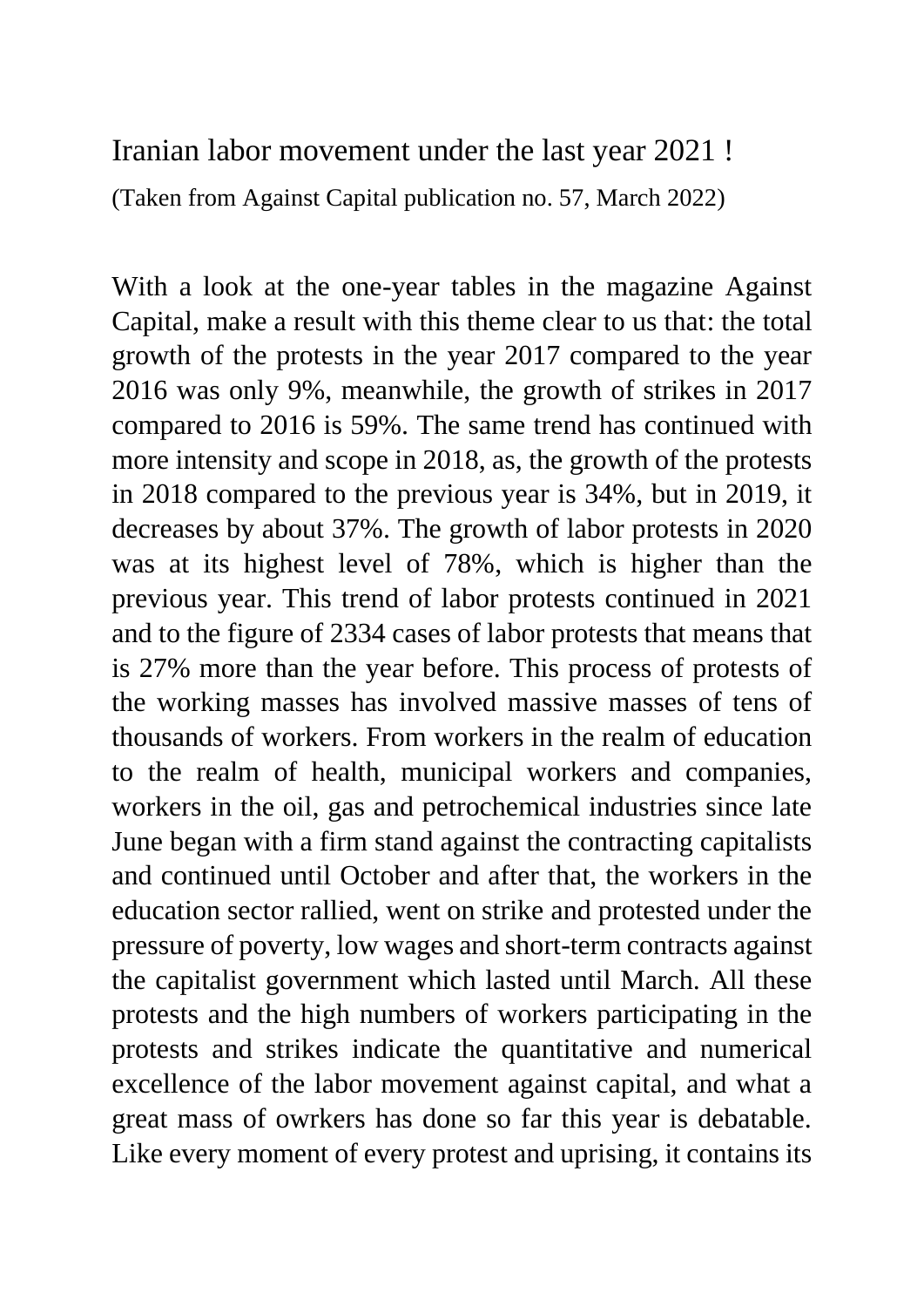Iranian labor movement under the last year 2021 !

(Taken from Against Capital publication no. 57, March 2022)

With a look at the one-year tables in the magazine Against Capital, make a result with this theme clear to us that: the total growth of the protests in the year 2017 compared to the year 2016 was only 9%, meanwhile, the growth of strikes in 2017 compared to 2016 is 59%. The same trend has continued with more intensity and scope in 2018, as, the growth of the protests in 2018 compared to the previous year is 34%, but in 2019, it decreases by about 37%. The growth of labor protests in 2020 was at its highest level of 78%, which is higher than the previous year. This trend of labor protests continued in 2021 and to the figure of 2334 cases of labor protests that means that is 27% more than the year before. This process of protests of the working masses has involved massive masses of tens of thousands of workers. From workers in the realm of education to the realm of health, municipal workers and companies, workers in the oil, gas and petrochemical industries since late June began with a firm stand against the contracting capitalists and continued until October and after that, the workers in the education sector rallied, went on strike and protested under the pressure of poverty, low wages and short-term contracts against the capitalist government which lasted until March. All these protests and the high numbers of workers participating in the protests and strikes indicate the quantitative and numerical excellence of the labor movement against capital, and what a great mass of owrkers has done so far this year is debatable. Like every moment of every protest and uprising, it contains its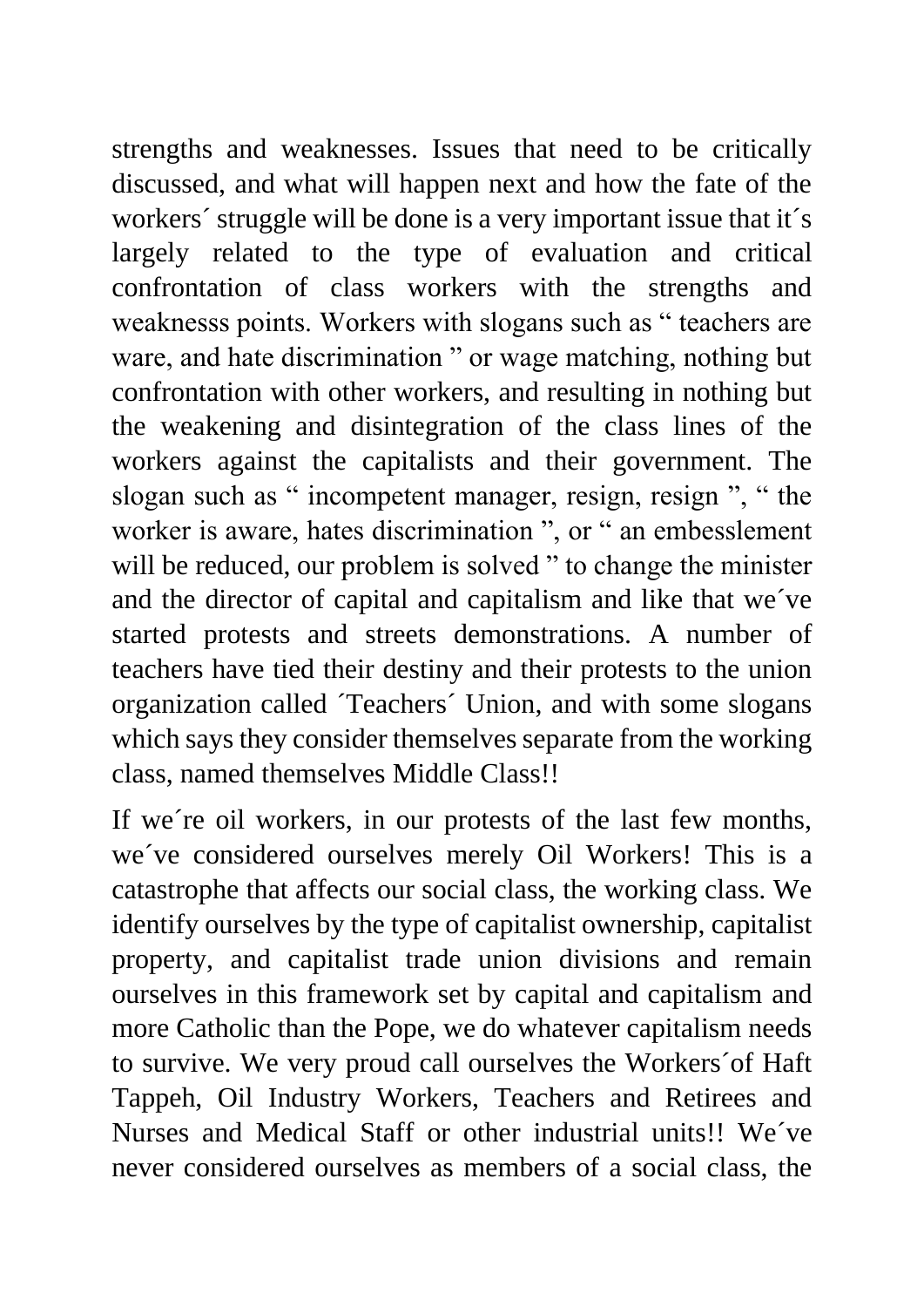strengths and weaknesses. Issues that need to be critically discussed, and what will happen next and how the fate of the workers´ struggle will be done is a very important issue that it´s largely related to the type of evaluation and critical confrontation of class workers with the strengths and weaknesss points. Workers with slogans such as " teachers are ware, and hate discrimination " or wage matching, nothing but confrontation with other workers, and resulting in nothing but the weakening and disintegration of the class lines of the workers against the capitalists and their government. The slogan such as " incompetent manager, resign, resign ", " the worker is aware, hates discrimination ", or " an embesslement will be reduced, our problem is solved " to change the minister and the director of capital and capitalism and like that we´ve started protests and streets demonstrations. A number of teachers have tied their destiny and their protests to the union organization called ´Teachers´ Union, and with some slogans which says they consider themselves separate from the working class, named themselves Middle Class!!

If we´re oil workers, in our protests of the last few months, we´ve considered ourselves merely Oil Workers! This is a catastrophe that affects our social class, the working class. We identify ourselves by the type of capitalist ownership, capitalist property, and capitalist trade union divisions and remain ourselves in this framework set by capital and capitalism and more Catholic than the Pope, we do whatever capitalism needs to survive. We very proud call ourselves the Workers´of Haft Tappeh, Oil Industry Workers, Teachers and Retirees and Nurses and Medical Staff or other industrial units!! We´ve never considered ourselves as members of a social class, the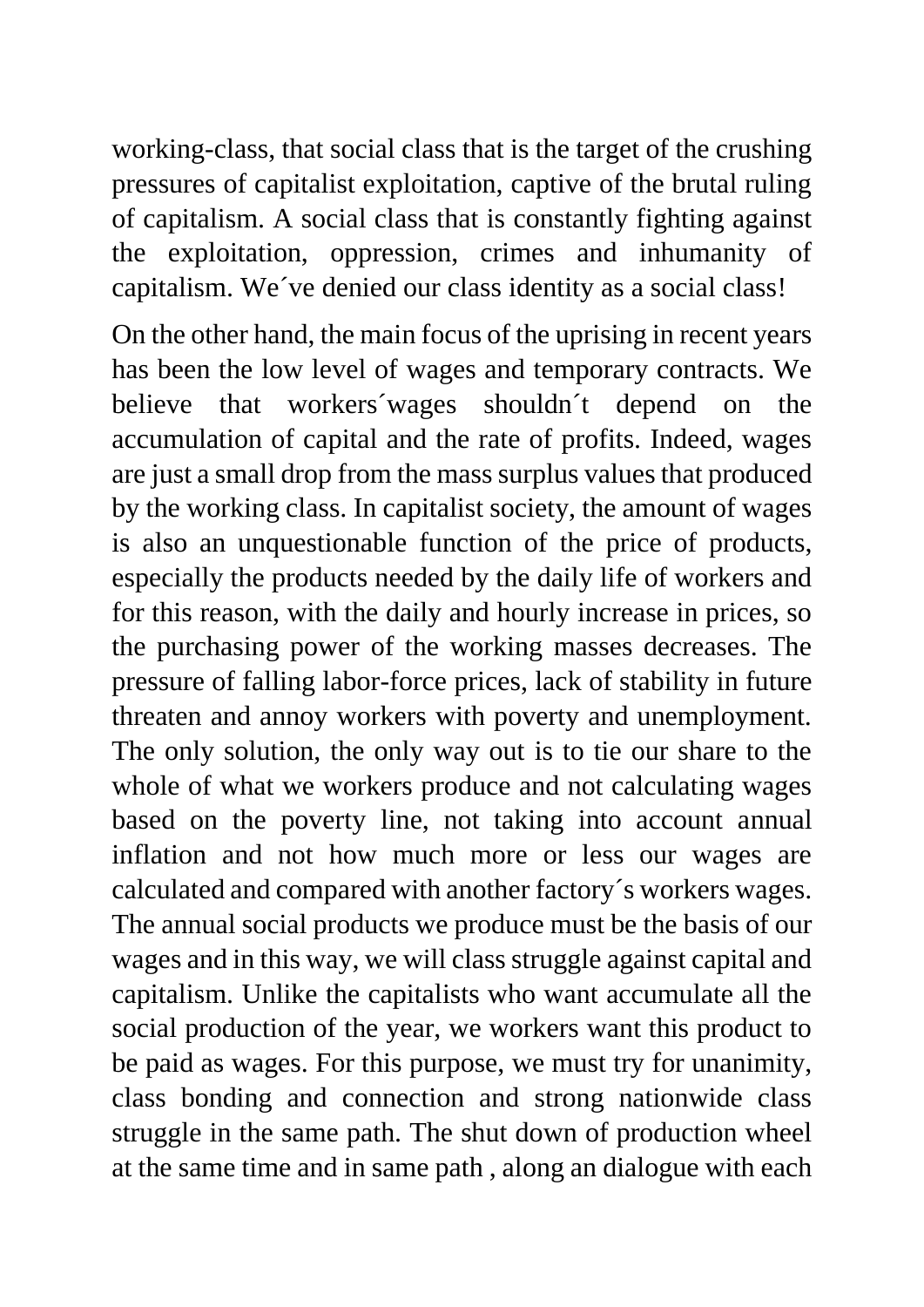working-class, that social class that is the target of the crushing pressures of capitalist exploitation, captive of the brutal ruling of capitalism. A social class that is constantly fighting against the exploitation, oppression, crimes and inhumanity of capitalism. We´ve denied our class identity as a social class!

On the other hand, the main focus of the uprising in recent years has been the low level of wages and temporary contracts. We believe that workers´wages shouldn´t depend on the accumulation of capital and the rate of profits. Indeed, wages are just a small drop from the mass surplus values that produced by the working class. In capitalist society, the amount of wages is also an unquestionable function of the price of products, especially the products needed by the daily life of workers and for this reason, with the daily and hourly increase in prices, so the purchasing power of the working masses decreases. The pressure of falling labor-force prices, lack of stability in future threaten and annoy workers with poverty and unemployment. The only solution, the only way out is to tie our share to the whole of what we workers produce and not calculating wages based on the poverty line, not taking into account annual inflation and not how much more or less our wages are calculated and compared with another factory´s workers wages. The annual social products we produce must be the basis of our wages and in this way, we will class struggle against capital and capitalism. Unlike the capitalists who want accumulate all the social production of the year, we workers want this product to be paid as wages. For this purpose, we must try for unanimity, class bonding and connection and strong nationwide class struggle in the same path. The shut down of production wheel at the same time and in same path , along an dialogue with each